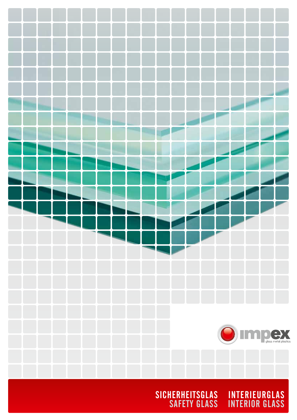

SICHERHEITSGLAS INTERIEUR SAFETY GLASS INTERIOR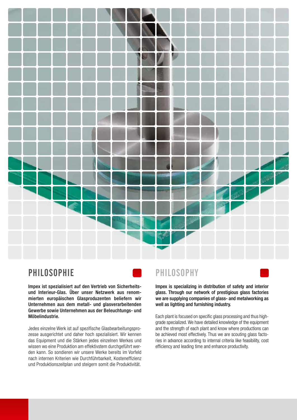

# **PHILOSOPHIE**



Impex ist spezialisiert auf den Vertrieb von Sicherheitsund Interieur-Glas. Über unser Netzwerk aus renommierten europäischen Glasproduzenten beliefern wir Unternehmen aus dem metall- und glasverarbeitenden Gewerbe sowie Unternehmen aus der Beleuchtungs- und Möbelindustrie.

Jedes einzelne Werk ist auf spezifische Glasbearbeitungsprozesse ausgerichtet und daher hoch spezialisiert. Wir kennen das Equipment und die Stärken jedes einzelnen Werkes und wissen wo eine Produktion am effektivstem durchgeführt werden kann. So sondieren wir unsere Werke bereits im Vorfeld nach internen Kriterien wie Durchführbarkeit, Kosteneffizienz und Produktionszeitplan und steigern somit die Produktivität.

## Philosophy

Impex is specializing in distribution of safety and interior glass. Through our network of prestigious glass factories we are supplying companies of glass- and metalworking as well as lighting and furnishing industry.

Each plant is focused on specific glass processing and thus highgrade specialized. We have detailed knowledge of the equipment and the strength of each plant and know where productions can be achieved most effectively. Thus we are scouting glass factories in advance according to internal criteria like feasibility, cost efficiency and leading time and enhance productivity.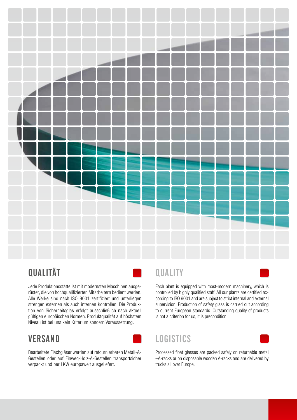

# **QUALITÄT**

Jede Produktionsstätte ist mit modernsten Maschinen ausgerüstet, die von hochqualifizierten Mitarbeitern bedient werden. Alle Werke sind nach ISO 9001 zertifiziert und unterliegen strengen externen als auch internen Kontrollen. Die Produktion von Sicherheitsglas erfolgt ausschließlich nach aktuell gültigen europäischen Normen. Produktqualität auf höchstem Niveau ist bei uns kein Kriterium sondern Voraussetzung.

# **VERSAND**



Bearbeitete Flachgläser werden auf retournierbaren Metall-A-Gestellen oder auf Einweg-Holz-A-Gestellen transportsicher verpackt und per LKW europaweit ausgeliefert.

# **QUALITY**

Each plant is equipped with most-modern machinery, which is controlled by highly qualified staff. All our plants are certified according to ISO 9001 and are subject to strict internal and external supervision. Production of safety glass is carried out according to current European standards. Outstanding quality of products is not a criterion for us, it is precondition.

# **LOGISTICS**



Processed float glasses are packed safely on returnable metal –A-racks or on disposable wooden A-racks and are delivered by trucks all over Europe.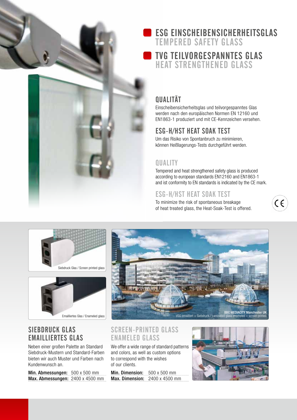

# ESG Einscheibensicherheitsglas

Tempered safety glass

## TVG Teilvorgespanntes Glas Heat strengthened glass

# **OUALITÄT**

Einscheibensicherheitsglas und teilvorgespanntes Glas werden nach den europäischen Normen EN 12160 und EN1863-1 produziert und mit CE-Kennzeichen versehen.

## ESG-H/HST Heat Soak Test

Um das Risiko von Spontanbruch zu minimieren, können Heißlagerungs-Tests durchgeführt werden.

#### **QUALITY**

Tempered and heat strengthened safety glass is produced according to european standards EN12160 and EN1863-1 and ist conformity to EN standards is indicated by the CE mark.

CE

## ESG-H/HST Heat Soak Test

To minimize the risk of spontaneous breakage of heat treated glass, the Heat-Soak-Test is offered.





#### SIEBDRUCK GLAS Emailliertes Glas

Neben einer großen Palette an Standard Siebdruck-Mustern und Standard-Farben bieten wir auch Muster und Farben nach Kundenwunsch an.

Min. Abmessungen: 500 x 500 mm Max. Abmessungen: 2400 x 4500 mm



#### Screen-printed glass ENAMELED GLASS

We offer a wide range of standard patterns and colors, as well as custom options to correspond with the wishes of our clients.

Min. Dimension: 500 x 500 mm Max. Dimension: 2400 x 4500 mm

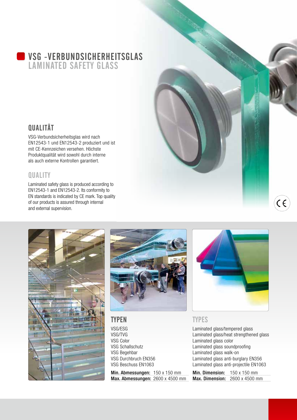#### VSG -Verbundsicherheitsglas Laminated safety glass

## **QUALITÄT**

VSG-Verbundsicherheitsglas wird nach EN12543-1 und EN12543-2 produziert und ist mit CE-Kennzeichen versehen. Höchste Produktqualität wird sowohl durch interne als auch externe Kontrollen garantiert.

### **QUALITY**

Laminated safety glass is produced according to EN12543-1 and EN12543-2. Its conformity to EN standards is indicated by CE mark. Top quality of our products is assured through internal and external supervision.





#### **TYPEN**

VSG/ESG VSG/TVG VSG Color VSG Schallschutz VSG Begehbar VSG Durchbruch EN356 VSG Beschuss EN1063

Min. Abmessungen: 150 x 150 mm Max. Abmessungen: 2600 x 4500 mm



 $\epsilon$ 

#### **TYPES**

Laminated glass/tempered glass Laminated glass/heat strengthened glass Laminated glass color Laminated glass soundproofing Laminated glass walk-on Laminated glass anti-burglary EN356 Laminated glass anti-projectile EN1063

Min. Dimension: 150 x 150 mm Max. Dimension: 2600 x 4500 mm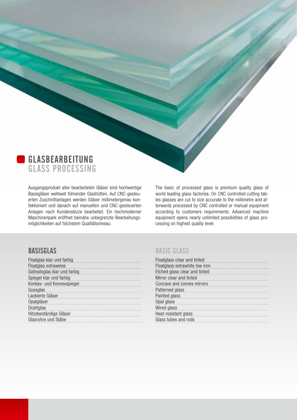

Ausgangsprodukt aller bearbeiteten Gläser sind hochwertige Basisgläser weltweit führender Glashütten. Auf CNC-gesteuerten Zuschnittanlagen werden Gläser millimetergenau konfektioniert und danach auf manuellen und CNC-gesteuerten Anlagen nach Kundenskizze bearbeitet. Ein hochmoderner Maschinenpark eröffnet beinahe unbegrenzte Bearbeitungsmöglichkeiten auf höchstem Qualitätsniveau.

The basic of processed glass is premium quality glass of world leading glass factories. On CNC controlled cutting tables glasses are cut to size accurate to the millimetre and afterwards processed by CNC controlled or manual equipment according to customers requirements. Advanced machine equipment opens nearly unlimited possibilities of glass processing on highest quality level.

#### Basisglas

| Floatglas klar und farbig                                                                                                                                                                                                     |
|-------------------------------------------------------------------------------------------------------------------------------------------------------------------------------------------------------------------------------|
| Floatglas extraweiss                                                                                                                                                                                                          |
| Satinatoglas klar und farbig                                                                                                                                                                                                  |
| Spiegel klar und farbig                                                                                                                                                                                                       |
| Konkav- und Konvexspiegel                                                                                                                                                                                                     |
| Gussglas                                                                                                                                                                                                                      |
| Lackierte Gläser                                                                                                                                                                                                              |
| Opalgläser                                                                                                                                                                                                                    |
| Drahtglas experiences and the contract of the contract of the contract of the contract of the contract of the contract of the contract of the contract of the contract of the contract of the contract of the contract of the |
| Hitzebeständige Gläser                                                                                                                                                                                                        |
| Glasrohre und Stäbe                                                                                                                                                                                                           |

#### Basic glass

| Floatglass clear and tinted                                                                                                                                                                                                   |
|-------------------------------------------------------------------------------------------------------------------------------------------------------------------------------------------------------------------------------|
| Floatglass extrawhite low iron                                                                                                                                                                                                |
| Etched glass clear and tinted                                                                                                                                                                                                 |
| Mirror clear and tinted                                                                                                                                                                                                       |
| Concave and convex mirrors                                                                                                                                                                                                    |
| Patterned glass                                                                                                                                                                                                               |
| Painted glass entertainment and all the paintings of the state of the state of the state of the state of the state of the state of the state of the state of the state of the state of the state of the state of the state of |
| Opal glass                                                                                                                                                                                                                    |
| Wired glass                                                                                                                                                                                                                   |
| Heat-resistant glass                                                                                                                                                                                                          |
| Glass tubes and rods                                                                                                                                                                                                          |
|                                                                                                                                                                                                                               |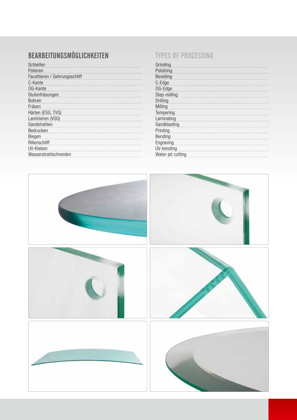# BEARBEITUNGSMÖGLICHKEITEN

| Schleifen                     |
|-------------------------------|
| Polieren                      |
| Facettieren / Gehrungsschliff |
| C-Kante                       |
| OG-Kante                      |
| Stufenfräsungen               |
| <b>Bohren</b>                 |
| Fräsen                        |
| Härten (ESG, TVG)             |
| Laminieren (VSG)              |
| Sandstrahlen                  |
| Bedrucken                     |
| Biegen                        |
| Rillenschliff                 |
| UV-Kleben                     |
| Wasserstrahlschneiden         |
|                               |

#### TYPES OF PROCESSING

| Grinding          |
|-------------------|
| Polishing         |
| <b>Bevelling</b>  |
| C-Edge            |
| OG-Edge           |
| Step-milling      |
| Drilling          |
| Milling           |
| Tempering         |
| Laminating        |
| Sandblasting      |
| Printing          |
|                   |
| Bending           |
| Engraving         |
| UV-bonding        |
| Water-jet cutting |